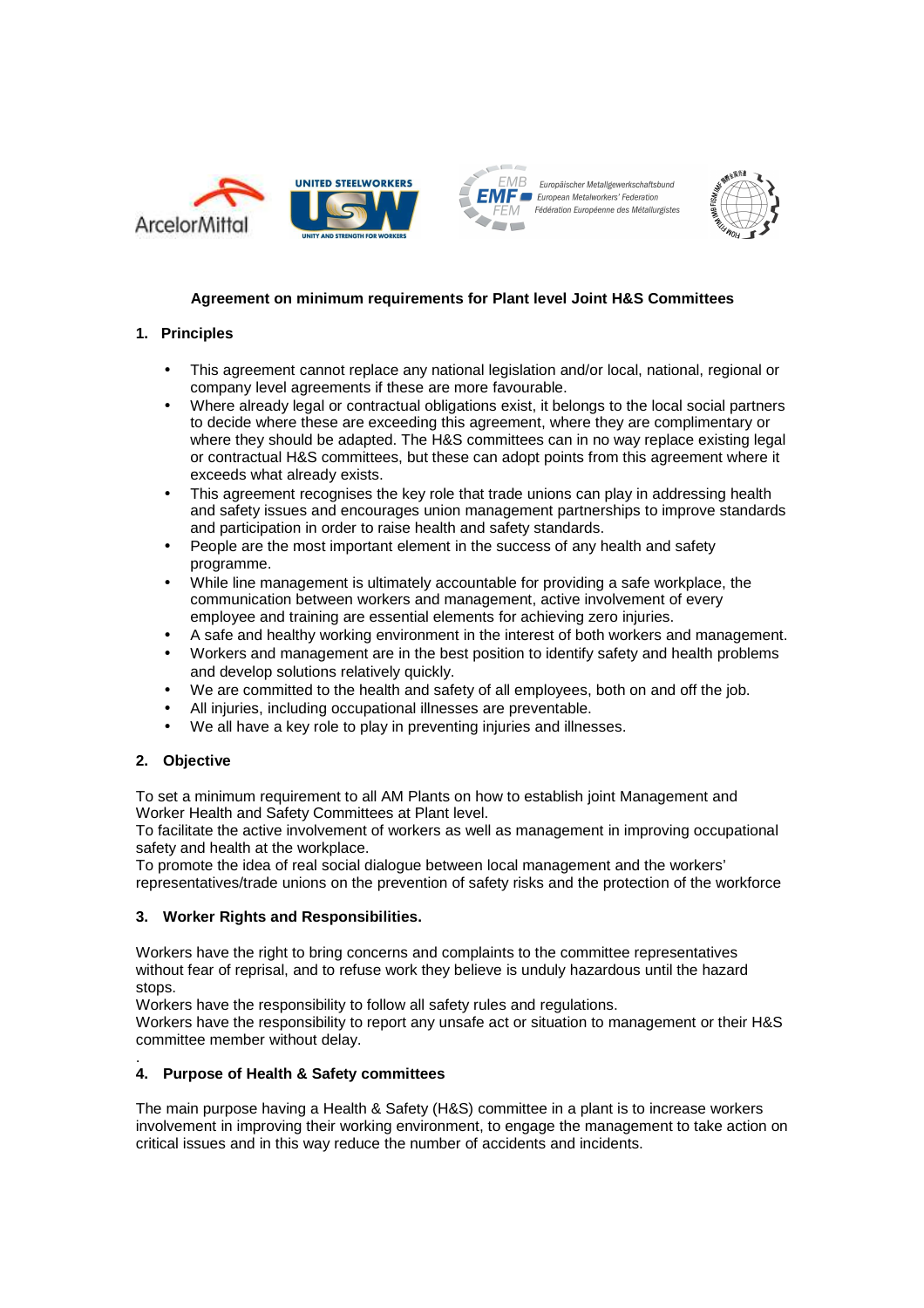





# **Agreement on minimum requirements for Plant level Joint H&S Committees**

# **1. Principles**

- This agreement cannot replace any national legislation and/or local, national, regional or company level agreements if these are more favourable.
- Where already legal or contractual obligations exist, it belongs to the local social partners to decide where these are exceeding this agreement, where they are complimentary or where they should be adapted. The H&S committees can in no way replace existing legal or contractual H&S committees, but these can adopt points from this agreement where it exceeds what already exists.
- This agreement recognises the key role that trade unions can play in addressing health and safety issues and encourages union management partnerships to improve standards and participation in order to raise health and safety standards.
- People are the most important element in the success of any health and safety programme.
- While line management is ultimately accountable for providing a safe workplace, the communication between workers and management, active involvement of every employee and training are essential elements for achieving zero injuries.
- A safe and healthy working environment in the interest of both workers and management.
- Workers and management are in the best position to identify safety and health problems and develop solutions relatively quickly.
- We are committed to the health and safety of all employees, both on and off the job.
- All injuries, including occupational illnesses are preventable.
- We all have a key role to play in preventing injuries and illnesses.

# **2. Objective**

To set a minimum requirement to all AM Plants on how to establish joint Management and Worker Health and Safety Committees at Plant level.

To facilitate the active involvement of workers as well as management in improving occupational safety and health at the workplace.

To promote the idea of real social dialogue between local management and the workers' representatives/trade unions on the prevention of safety risks and the protection of the workforce

# **3. Worker Rights and Responsibilities.**

Workers have the right to bring concerns and complaints to the committee representatives without fear of reprisal, and to refuse work they believe is unduly hazardous until the hazard stops.

Workers have the responsibility to follow all safety rules and regulations.

Workers have the responsibility to report any unsafe act or situation to management or their H&S committee member without delay.

#### . **4. Purpose of Health & Safety committees**

The main purpose having a Health & Safety (H&S) committee in a plant is to increase workers involvement in improving their working environment, to engage the management to take action on critical issues and in this way reduce the number of accidents and incidents.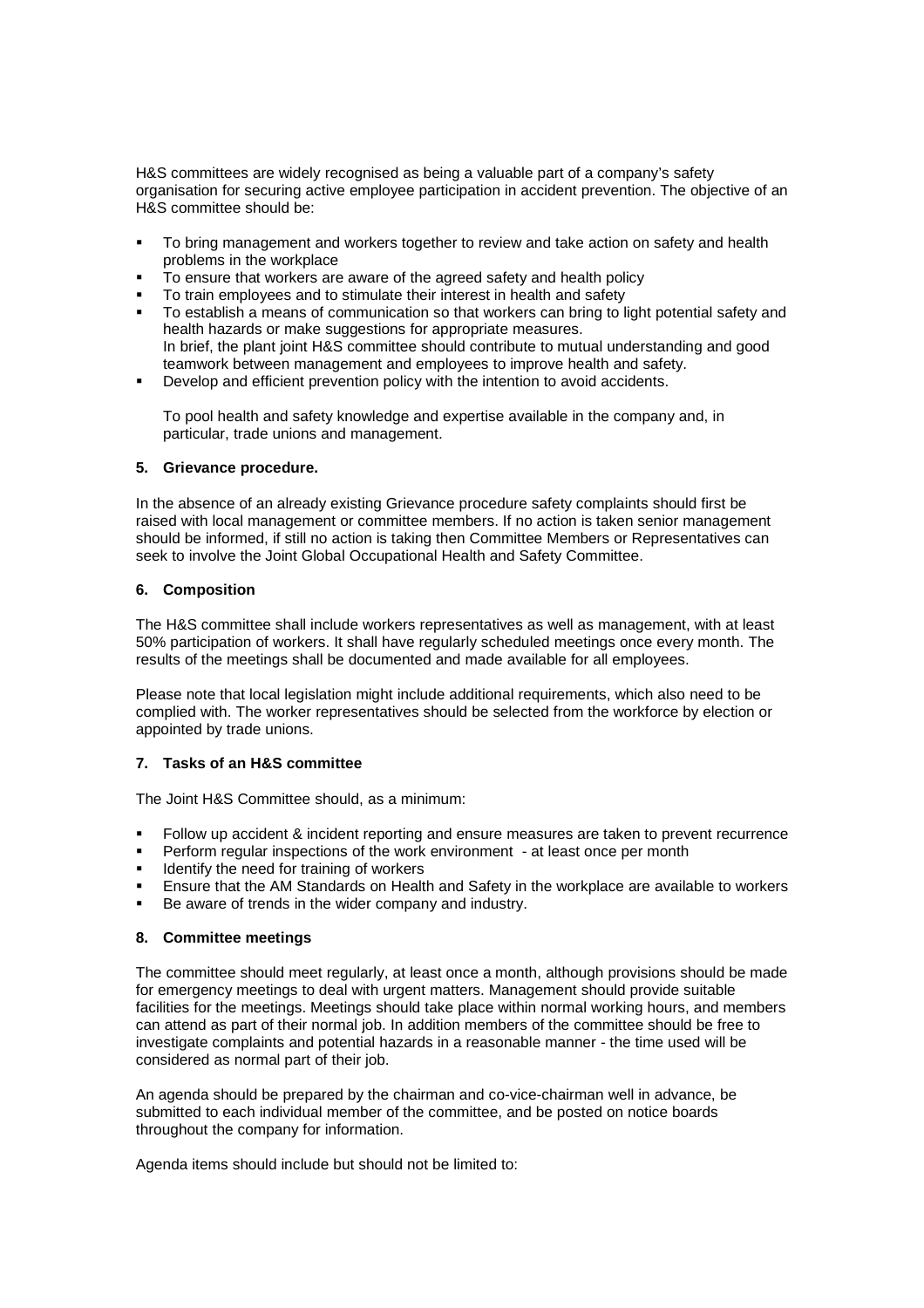H&S committees are widely recognised as being a valuable part of a company's safety organisation for securing active employee participation in accident prevention. The objective of an H&S committee should be:

- To bring management and workers together to review and take action on safety and health problems in the workplace
- To ensure that workers are aware of the agreed safety and health policy
- **To train employees and to stimulate their interest in health and safety**
- To establish a means of communication so that workers can bring to light potential safety and health hazards or make suggestions for appropriate measures. In brief, the plant joint H&S committee should contribute to mutual understanding and good teamwork between management and employees to improve health and safety.
- Develop and efficient prevention policy with the intention to avoid accidents.

To pool health and safety knowledge and expertise available in the company and, in particular, trade unions and management.

## **5. Grievance procedure.**

In the absence of an already existing Grievance procedure safety complaints should first be raised with local management or committee members. If no action is taken senior management should be informed, if still no action is taking then Committee Members or Representatives can seek to involve the Joint Global Occupational Health and Safety Committee.

## **6. Composition**

The H&S committee shall include workers representatives as well as management, with at least 50% participation of workers. It shall have regularly scheduled meetings once every month. The results of the meetings shall be documented and made available for all employees.

Please note that local legislation might include additional requirements, which also need to be complied with. The worker representatives should be selected from the workforce by election or appointed by trade unions.

## **7. Tasks of an H&S committee**

The Joint H&S Committee should, as a minimum:

- Follow up accident & incident reporting and ensure measures are taken to prevent recurrence
- Perform regular inspections of the work environment at least once per month
- Identify the need for training of workers
- Ensure that the AM Standards on Health and Safety in the workplace are available to workers
- Be aware of trends in the wider company and industry.

# **8. Committee meetings**

The committee should meet regularly, at least once a month, although provisions should be made for emergency meetings to deal with urgent matters. Management should provide suitable facilities for the meetings. Meetings should take place within normal working hours, and members can attend as part of their normal job. In addition members of the committee should be free to investigate complaints and potential hazards in a reasonable manner - the time used will be considered as normal part of their job.

An agenda should be prepared by the chairman and co-vice-chairman well in advance, be submitted to each individual member of the committee, and be posted on notice boards throughout the company for information.

Agenda items should include but should not be limited to: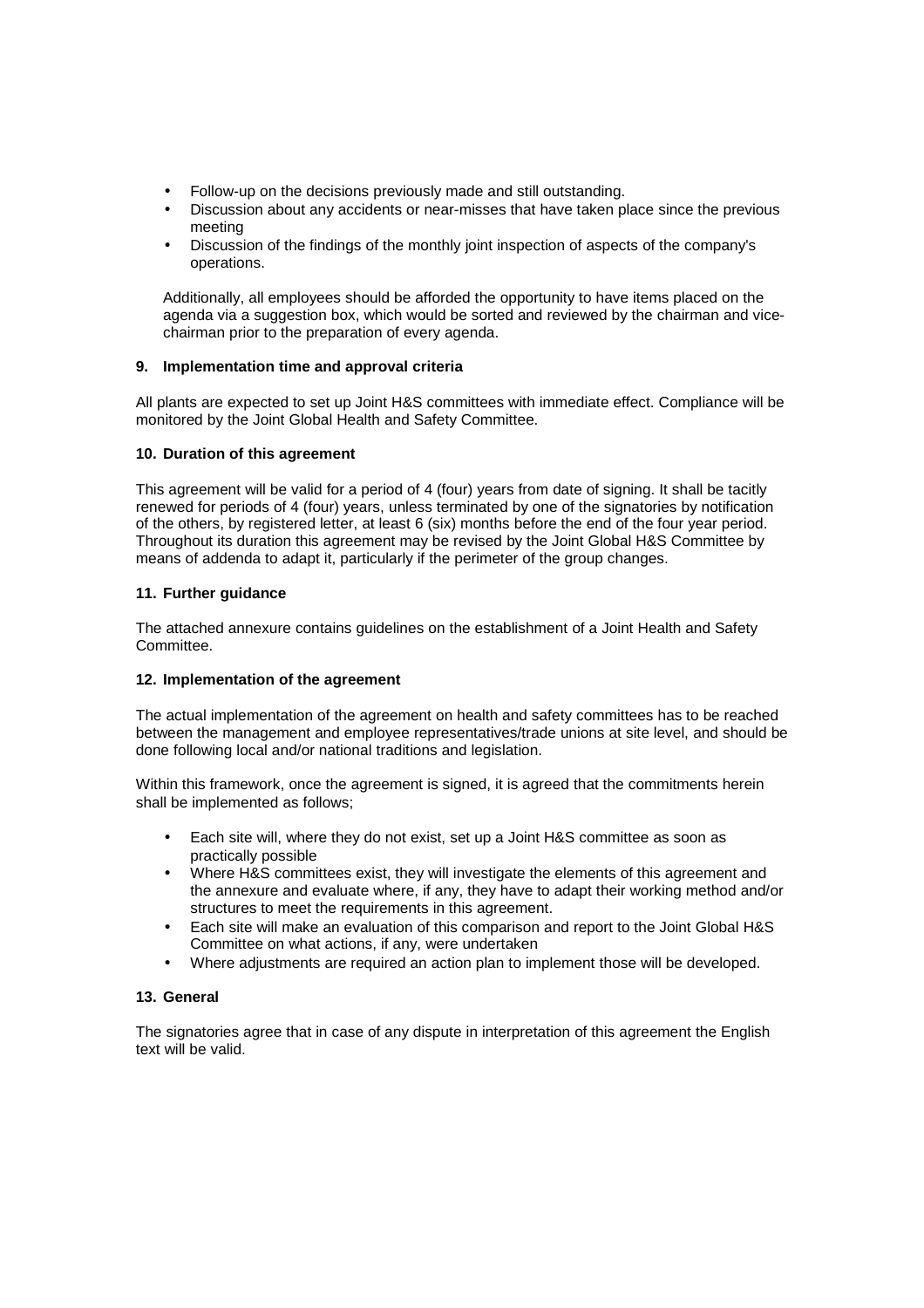- Follow-up on the decisions previously made and still outstanding.
- Discussion about any accidents or near-misses that have taken place since the previous meeting
- Discussion of the findings of the monthly joint inspection of aspects of the company's operations.

Additionally, all employees should be afforded the opportunity to have items placed on the agenda via a suggestion box, which would be sorted and reviewed by the chairman and vicechairman prior to the preparation of every agenda.

## **9. Implementation time and approval criteria**

All plants are expected to set up Joint H&S committees with immediate effect. Compliance will be monitored by the Joint Global Health and Safety Committee.

## **10. Duration of this agreement**

This agreement will be valid for a period of 4 (four) years from date of signing. It shall be tacitly renewed for periods of 4 (four) years, unless terminated by one of the signatories by notification of the others, by registered letter, at least 6 (six) months before the end of the four year period. Throughout its duration this agreement may be revised by the Joint Global H&S Committee by means of addenda to adapt it, particularly if the perimeter of the group changes.

## **11. Further guidance**

The attached annexure contains guidelines on the establishment of a Joint Health and Safety Committee.

## **12. Implementation of the agreement**

The actual implementation of the agreement on health and safety committees has to be reached between the management and employee representatives/trade unions at site level, and should be done following local and/or national traditions and legislation.

Within this framework, once the agreement is signed, it is agreed that the commitments herein shall be implemented as follows;

- Each site will, where they do not exist, set up a Joint H&S committee as soon as practically possible
- Where H&S committees exist, they will investigate the elements of this agreement and the annexure and evaluate where, if any, they have to adapt their working method and/or structures to meet the requirements in this agreement.
- Each site will make an evaluation of this comparison and report to the Joint Global H&S Committee on what actions, if any, were undertaken
- Where adjustments are required an action plan to implement those will be developed.

## **13. General**

The signatories agree that in case of any dispute in interpretation of this agreement the English text will be valid.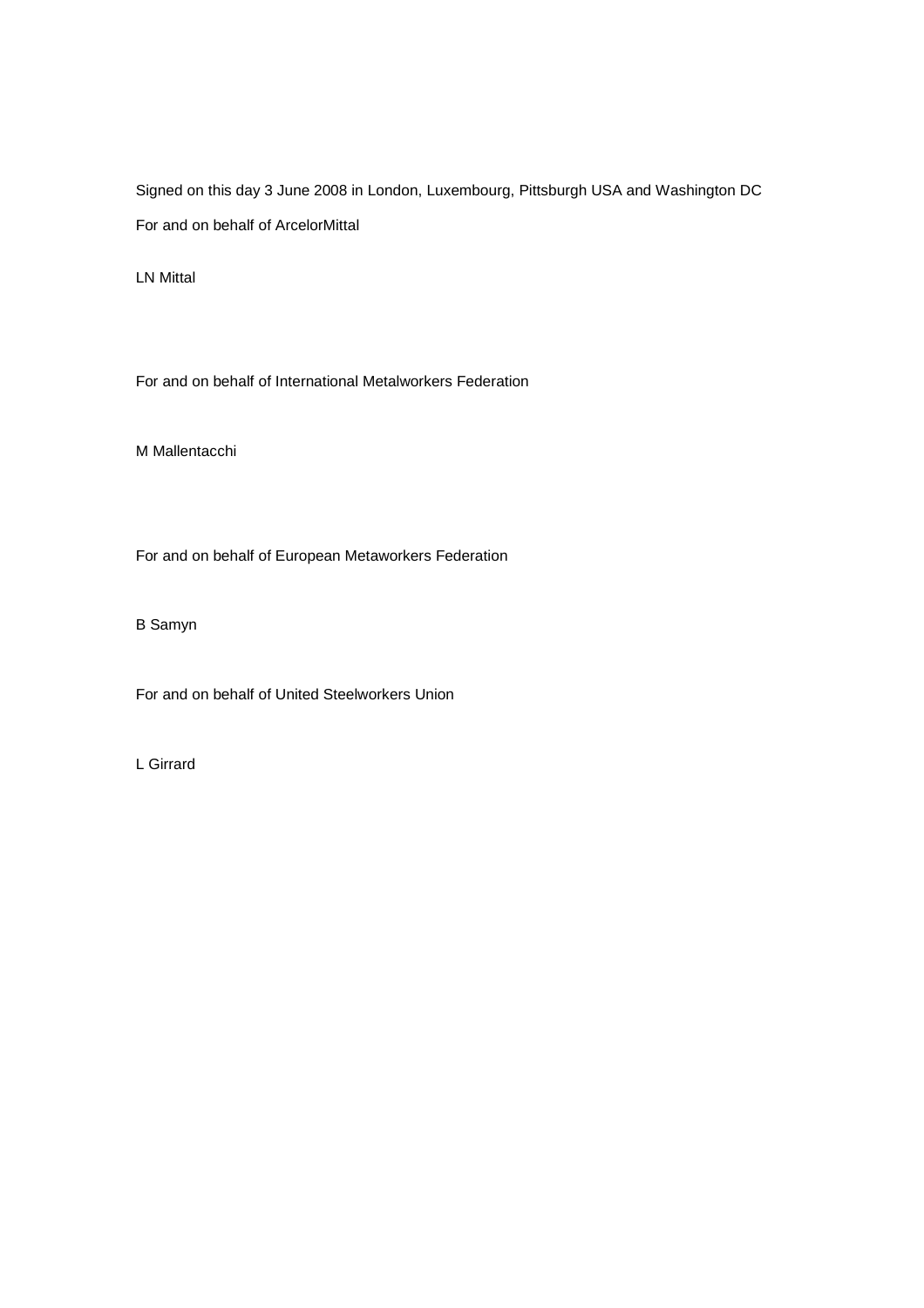Signed on this day 3 June 2008 in London, Luxembourg, Pittsburgh USA and Washington DC For and on behalf of ArcelorMittal

LN Mittal

For and on behalf of International Metalworkers Federation

M Mallentacchi

For and on behalf of European Metaworkers Federation

B Samyn

For and on behalf of United Steelworkers Union

L Girrard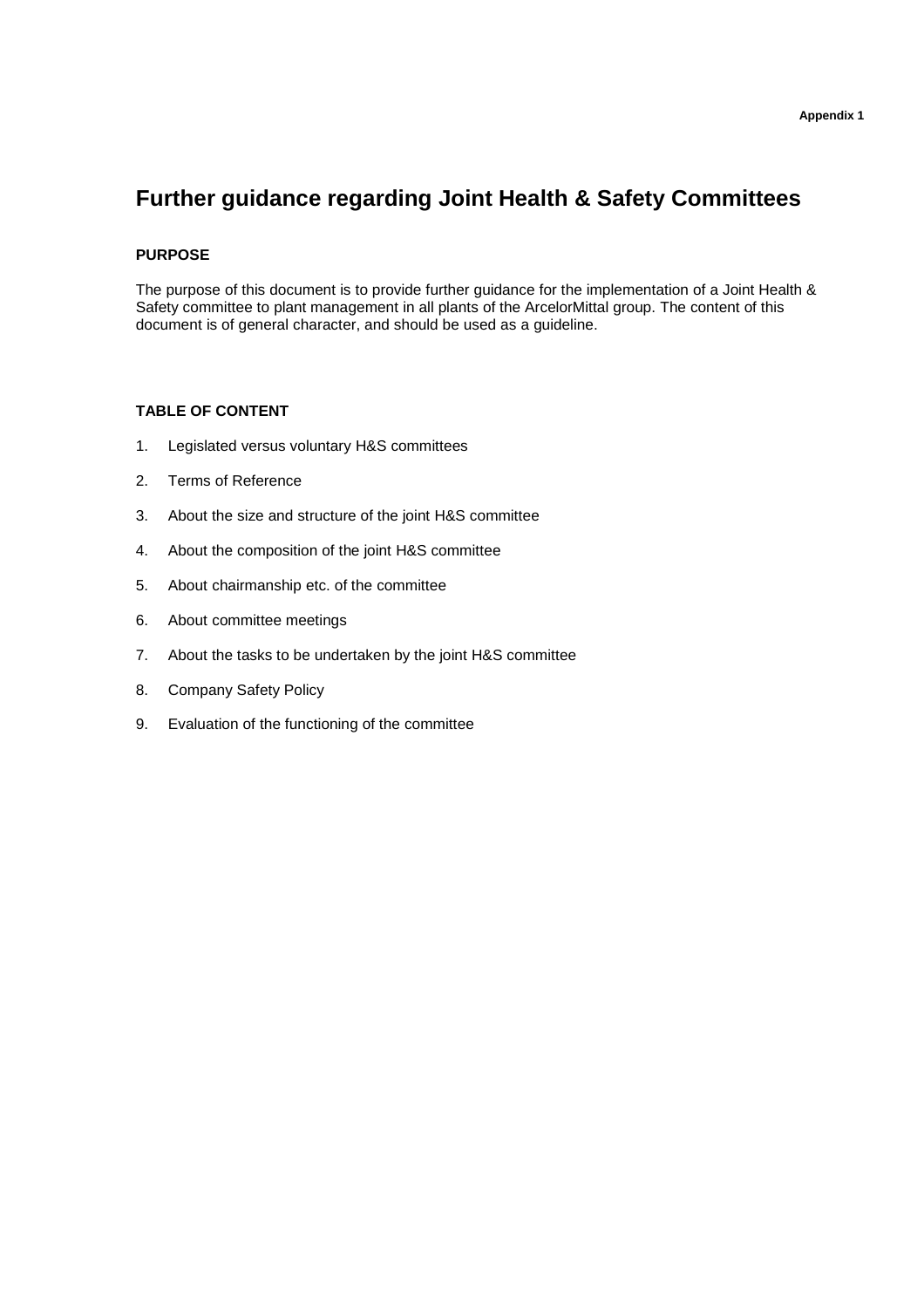# **Further guidance regarding Joint Health & Safety Committees**

## **PURPOSE**

The purpose of this document is to provide further guidance for the implementation of a Joint Health & Safety committee to plant management in all plants of the ArcelorMittal group. The content of this document is of general character, and should be used as a guideline.

## **TABLE OF CONTENT**

- 1. Legislated versus voluntary H&S committees
- 2. Terms of Reference
- 3. About the size and structure of the joint H&S committee
- 4. About the composition of the joint H&S committee
- 5. About chairmanship etc. of the committee
- 6. About committee meetings
- 7. About the tasks to be undertaken by the joint H&S committee
- 8. Company Safety Policy
- 9. Evaluation of the functioning of the committee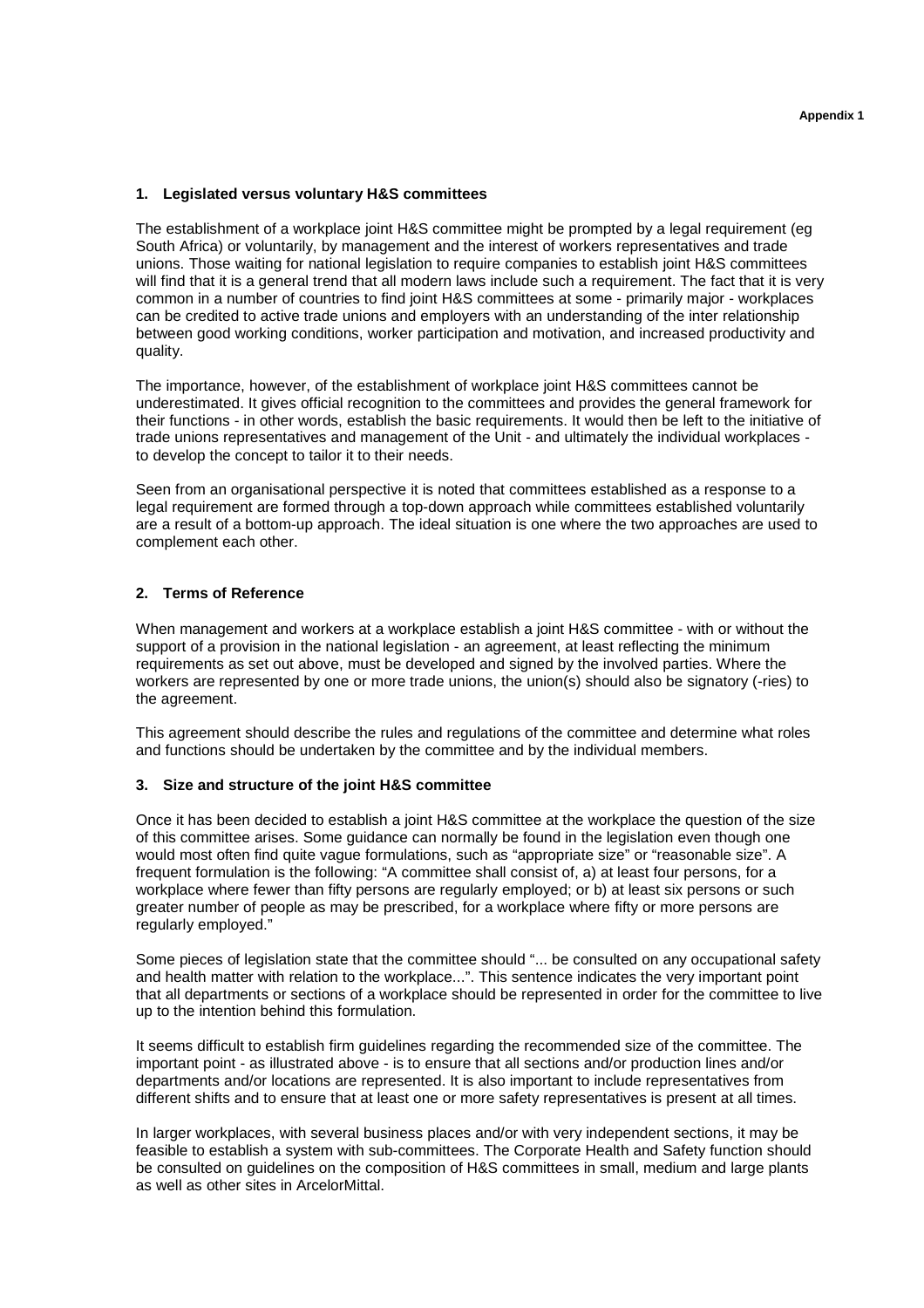#### **1. Legislated versus voluntary H&S committees**

The establishment of a workplace joint H&S committee might be prompted by a legal requirement (eg South Africa) or voluntarily, by management and the interest of workers representatives and trade unions. Those waiting for national legislation to require companies to establish joint H&S committees will find that it is a general trend that all modern laws include such a requirement. The fact that it is very common in a number of countries to find joint H&S committees at some - primarily major - workplaces can be credited to active trade unions and employers with an understanding of the inter relationship between good working conditions, worker participation and motivation, and increased productivity and quality.

The importance, however, of the establishment of workplace joint H&S committees cannot be underestimated. It gives official recognition to the committees and provides the general framework for their functions - in other words, establish the basic requirements. It would then be left to the initiative of trade unions representatives and management of the Unit - and ultimately the individual workplaces to develop the concept to tailor it to their needs.

Seen from an organisational perspective it is noted that committees established as a response to a legal requirement are formed through a top-down approach while committees established voluntarily are a result of a bottom-up approach. The ideal situation is one where the two approaches are used to complement each other.

## **2. Terms of Reference**

When management and workers at a workplace establish a joint H&S committee - with or without the support of a provision in the national legislation - an agreement, at least reflecting the minimum requirements as set out above, must be developed and signed by the involved parties. Where the workers are represented by one or more trade unions, the union(s) should also be signatory (-ries) to the agreement.

This agreement should describe the rules and regulations of the committee and determine what roles and functions should be undertaken by the committee and by the individual members.

#### **3. Size and structure of the joint H&S committee**

Once it has been decided to establish a joint H&S committee at the workplace the question of the size of this committee arises. Some guidance can normally be found in the legislation even though one would most often find quite vague formulations, such as "appropriate size" or "reasonable size". A frequent formulation is the following: "A committee shall consist of, a) at least four persons, for a workplace where fewer than fifty persons are regularly employed; or b) at least six persons or such greater number of people as may be prescribed, for a workplace where fifty or more persons are regularly employed."

Some pieces of legislation state that the committee should "... be consulted on any occupational safety and health matter with relation to the workplace...". This sentence indicates the very important point that all departments or sections of a workplace should be represented in order for the committee to live up to the intention behind this formulation.

It seems difficult to establish firm guidelines regarding the recommended size of the committee. The important point - as illustrated above - is to ensure that all sections and/or production lines and/or departments and/or locations are represented. It is also important to include representatives from different shifts and to ensure that at least one or more safety representatives is present at all times.

In larger workplaces, with several business places and/or with very independent sections, it may be feasible to establish a system with sub-committees. The Corporate Health and Safety function should be consulted on guidelines on the composition of H&S committees in small, medium and large plants as well as other sites in ArcelorMittal.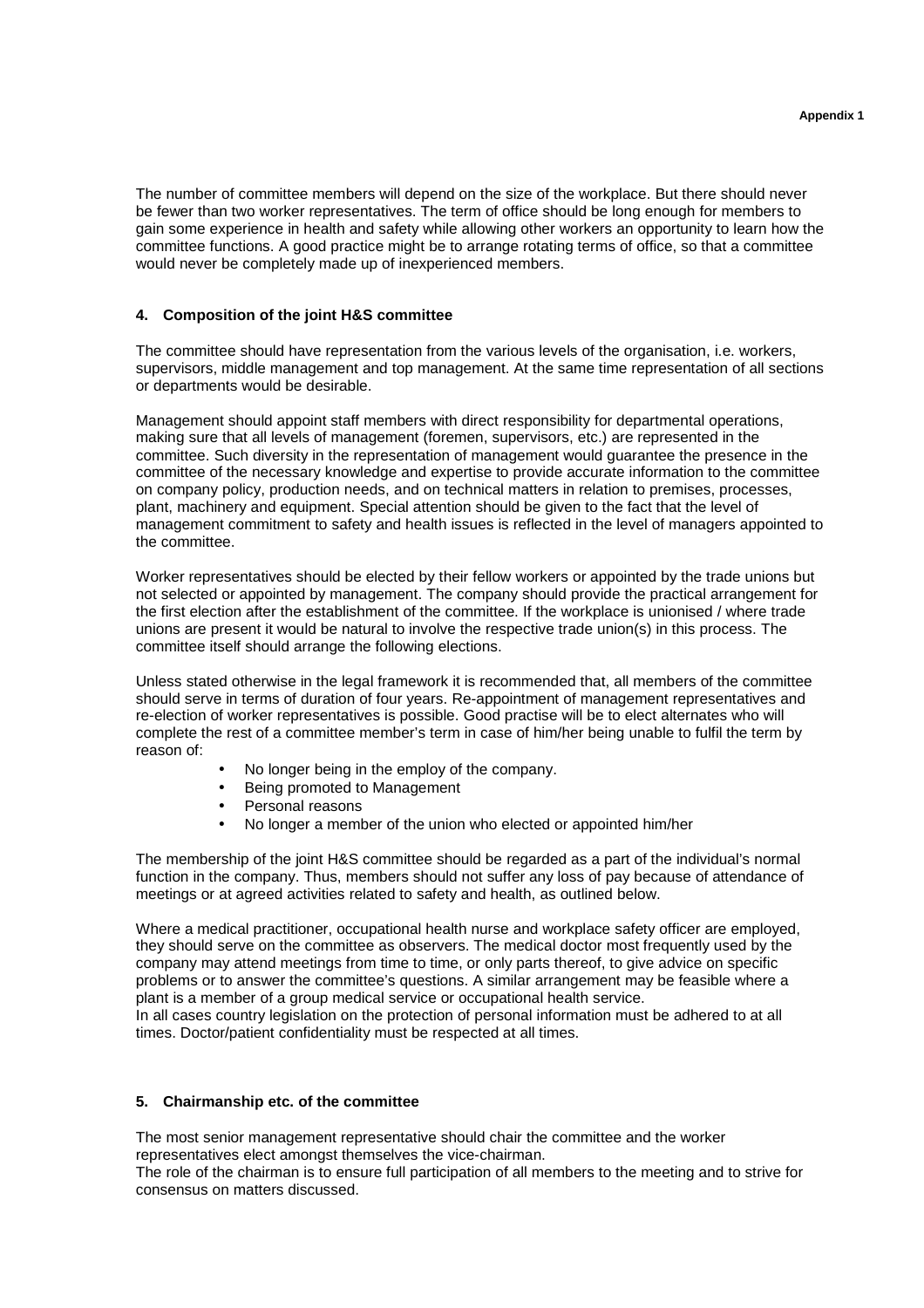The number of committee members will depend on the size of the workplace. But there should never be fewer than two worker representatives. The term of office should be long enough for members to gain some experience in health and safety while allowing other workers an opportunity to learn how the committee functions. A good practice might be to arrange rotating terms of office, so that a committee would never be completely made up of inexperienced members.

#### **4. Composition of the joint H&S committee**

The committee should have representation from the various levels of the organisation, i.e. workers, supervisors, middle management and top management. At the same time representation of all sections or departments would be desirable.

Management should appoint staff members with direct responsibility for departmental operations, making sure that all levels of management (foremen, supervisors, etc.) are represented in the committee. Such diversity in the representation of management would guarantee the presence in the committee of the necessary knowledge and expertise to provide accurate information to the committee on company policy, production needs, and on technical matters in relation to premises, processes, plant, machinery and equipment. Special attention should be given to the fact that the level of management commitment to safety and health issues is reflected in the level of managers appointed to the committee.

Worker representatives should be elected by their fellow workers or appointed by the trade unions but not selected or appointed by management. The company should provide the practical arrangement for the first election after the establishment of the committee. If the workplace is unionised / where trade unions are present it would be natural to involve the respective trade union(s) in this process. The committee itself should arrange the following elections.

Unless stated otherwise in the legal framework it is recommended that, all members of the committee should serve in terms of duration of four years. Re-appointment of management representatives and re-election of worker representatives is possible. Good practise will be to elect alternates who will complete the rest of a committee member's term in case of him/her being unable to fulfil the term by reason of:

- No longer being in the employ of the company.
- Being promoted to Management
- Personal reasons
- No longer a member of the union who elected or appointed him/her

The membership of the joint H&S committee should be regarded as a part of the individual's normal function in the company. Thus, members should not suffer any loss of pay because of attendance of meetings or at agreed activities related to safety and health, as outlined below.

Where a medical practitioner, occupational health nurse and workplace safety officer are employed. they should serve on the committee as observers. The medical doctor most frequently used by the company may attend meetings from time to time, or only parts thereof, to give advice on specific problems or to answer the committee's questions. A similar arrangement may be feasible where a plant is a member of a group medical service or occupational health service. In all cases country legislation on the protection of personal information must be adhered to at all times. Doctor/patient confidentiality must be respected at all times.

#### **5. Chairmanship etc. of the committee**

The most senior management representative should chair the committee and the worker representatives elect amongst themselves the vice-chairman.

The role of the chairman is to ensure full participation of all members to the meeting and to strive for consensus on matters discussed.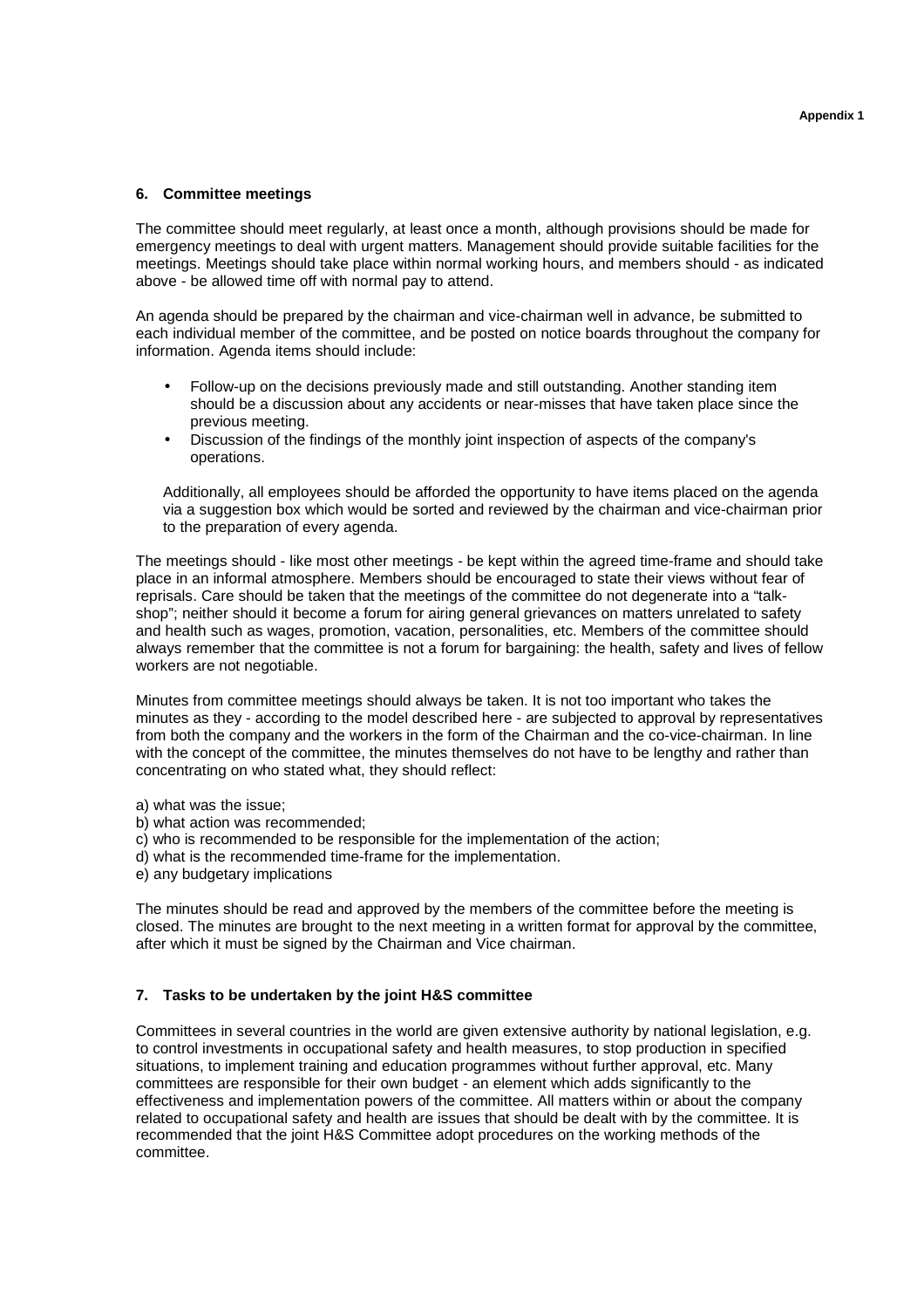## **6. Committee meetings**

The committee should meet regularly, at least once a month, although provisions should be made for emergency meetings to deal with urgent matters. Management should provide suitable facilities for the meetings. Meetings should take place within normal working hours, and members should - as indicated above - be allowed time off with normal pay to attend.

An agenda should be prepared by the chairman and vice-chairman well in advance, be submitted to each individual member of the committee, and be posted on notice boards throughout the company for information. Agenda items should include:

- Follow-up on the decisions previously made and still outstanding. Another standing item should be a discussion about any accidents or near-misses that have taken place since the previous meeting.
- Discussion of the findings of the monthly joint inspection of aspects of the company's operations.

Additionally, all employees should be afforded the opportunity to have items placed on the agenda via a suggestion box which would be sorted and reviewed by the chairman and vice-chairman prior to the preparation of every agenda.

The meetings should - like most other meetings - be kept within the agreed time-frame and should take place in an informal atmosphere. Members should be encouraged to state their views without fear of reprisals. Care should be taken that the meetings of the committee do not degenerate into a "talkshop"; neither should it become a forum for airing general grievances on matters unrelated to safety and health such as wages, promotion, vacation, personalities, etc. Members of the committee should always remember that the committee is not a forum for bargaining: the health, safety and lives of fellow workers are not negotiable.

Minutes from committee meetings should always be taken. It is not too important who takes the minutes as they - according to the model described here - are subjected to approval by representatives from both the company and the workers in the form of the Chairman and the co-vice-chairman. In line with the concept of the committee, the minutes themselves do not have to be lengthy and rather than concentrating on who stated what, they should reflect:

- a) what was the issue;
- b) what action was recommended;
- c) who is recommended to be responsible for the implementation of the action;
- d) what is the recommended time-frame for the implementation.
- e) any budgetary implications

The minutes should be read and approved by the members of the committee before the meeting is closed. The minutes are brought to the next meeting in a written format for approval by the committee, after which it must be signed by the Chairman and Vice chairman.

#### **7. Tasks to be undertaken by the joint H&S committee**

Committees in several countries in the world are given extensive authority by national legislation, e.g. to control investments in occupational safety and health measures, to stop production in specified situations, to implement training and education programmes without further approval, etc. Many committees are responsible for their own budget - an element which adds significantly to the effectiveness and implementation powers of the committee. All matters within or about the company related to occupational safety and health are issues that should be dealt with by the committee. It is recommended that the joint H&S Committee adopt procedures on the working methods of the committee.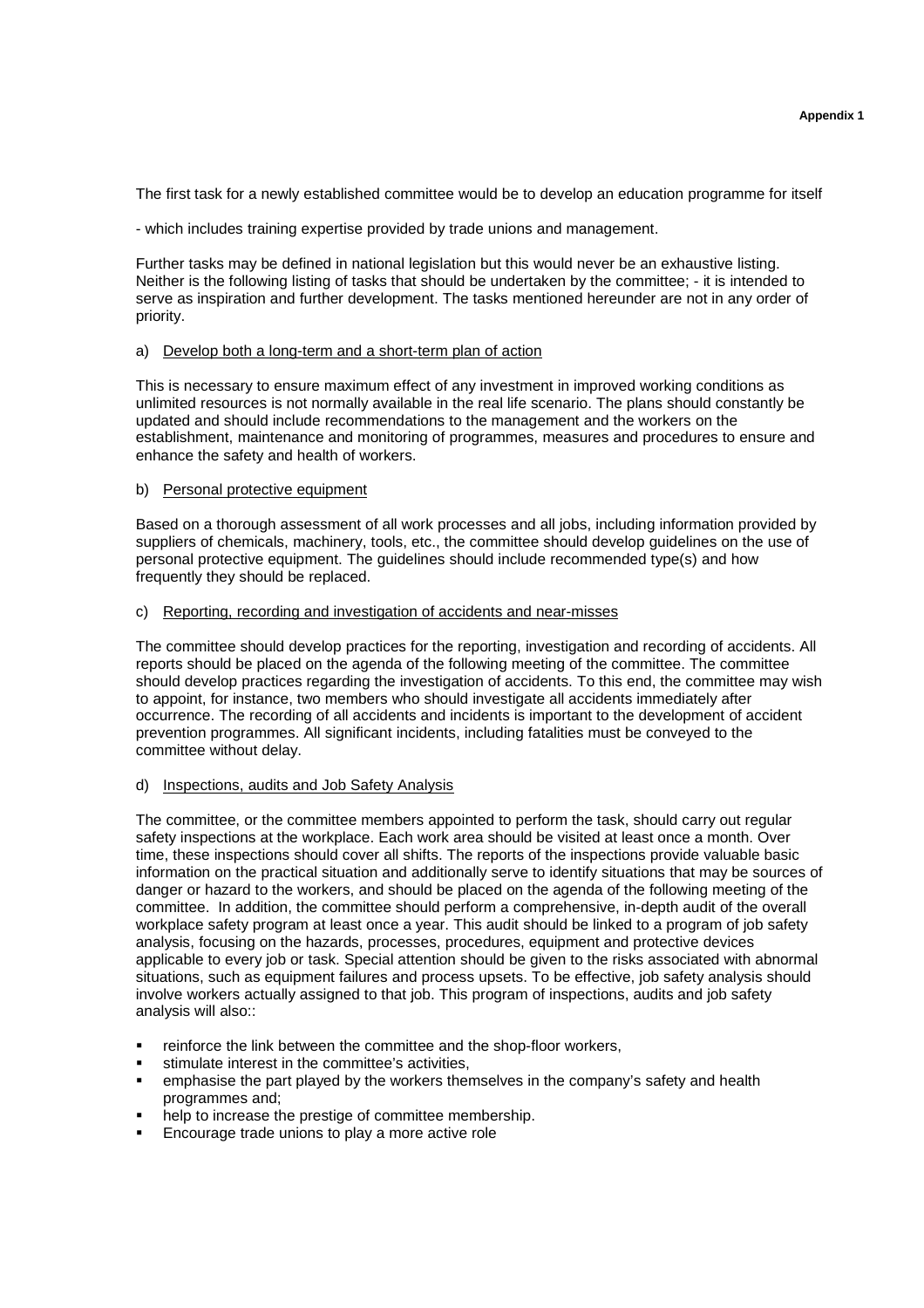The first task for a newly established committee would be to develop an education programme for itself

- which includes training expertise provided by trade unions and management.

Further tasks may be defined in national legislation but this would never be an exhaustive listing. Neither is the following listing of tasks that should be undertaken by the committee; - it is intended to serve as inspiration and further development. The tasks mentioned hereunder are not in any order of priority.

#### a) Develop both a long-term and a short-term plan of action

This is necessary to ensure maximum effect of any investment in improved working conditions as unlimited resources is not normally available in the real life scenario. The plans should constantly be updated and should include recommendations to the management and the workers on the establishment, maintenance and monitoring of programmes, measures and procedures to ensure and enhance the safety and health of workers.

## b) Personal protective equipment

Based on a thorough assessment of all work processes and all jobs, including information provided by suppliers of chemicals, machinery, tools, etc., the committee should develop guidelines on the use of personal protective equipment. The guidelines should include recommended type(s) and how frequently they should be replaced.

#### c) Reporting, recording and investigation of accidents and near-misses

The committee should develop practices for the reporting, investigation and recording of accidents. All reports should be placed on the agenda of the following meeting of the committee. The committee should develop practices regarding the investigation of accidents. To this end, the committee may wish to appoint, for instance, two members who should investigate all accidents immediately after occurrence. The recording of all accidents and incidents is important to the development of accident prevention programmes. All significant incidents, including fatalities must be conveyed to the committee without delay.

#### d) Inspections, audits and Job Safety Analysis

The committee, or the committee members appointed to perform the task, should carry out regular safety inspections at the workplace. Each work area should be visited at least once a month. Over time, these inspections should cover all shifts. The reports of the inspections provide valuable basic information on the practical situation and additionally serve to identify situations that may be sources of danger or hazard to the workers, and should be placed on the agenda of the following meeting of the committee. In addition, the committee should perform a comprehensive, in-depth audit of the overall workplace safety program at least once a year. This audit should be linked to a program of job safety analysis, focusing on the hazards, processes, procedures, equipment and protective devices applicable to every job or task. Special attention should be given to the risks associated with abnormal situations, such as equipment failures and process upsets. To be effective, job safety analysis should involve workers actually assigned to that job. This program of inspections, audits and job safety analysis will also::

- reinforce the link between the committee and the shop-floor workers,
- stimulate interest in the committee's activities,
- emphasise the part played by the workers themselves in the company's safety and health programmes and;
- help to increase the prestige of committee membership.
- **Encourage trade unions to play a more active role**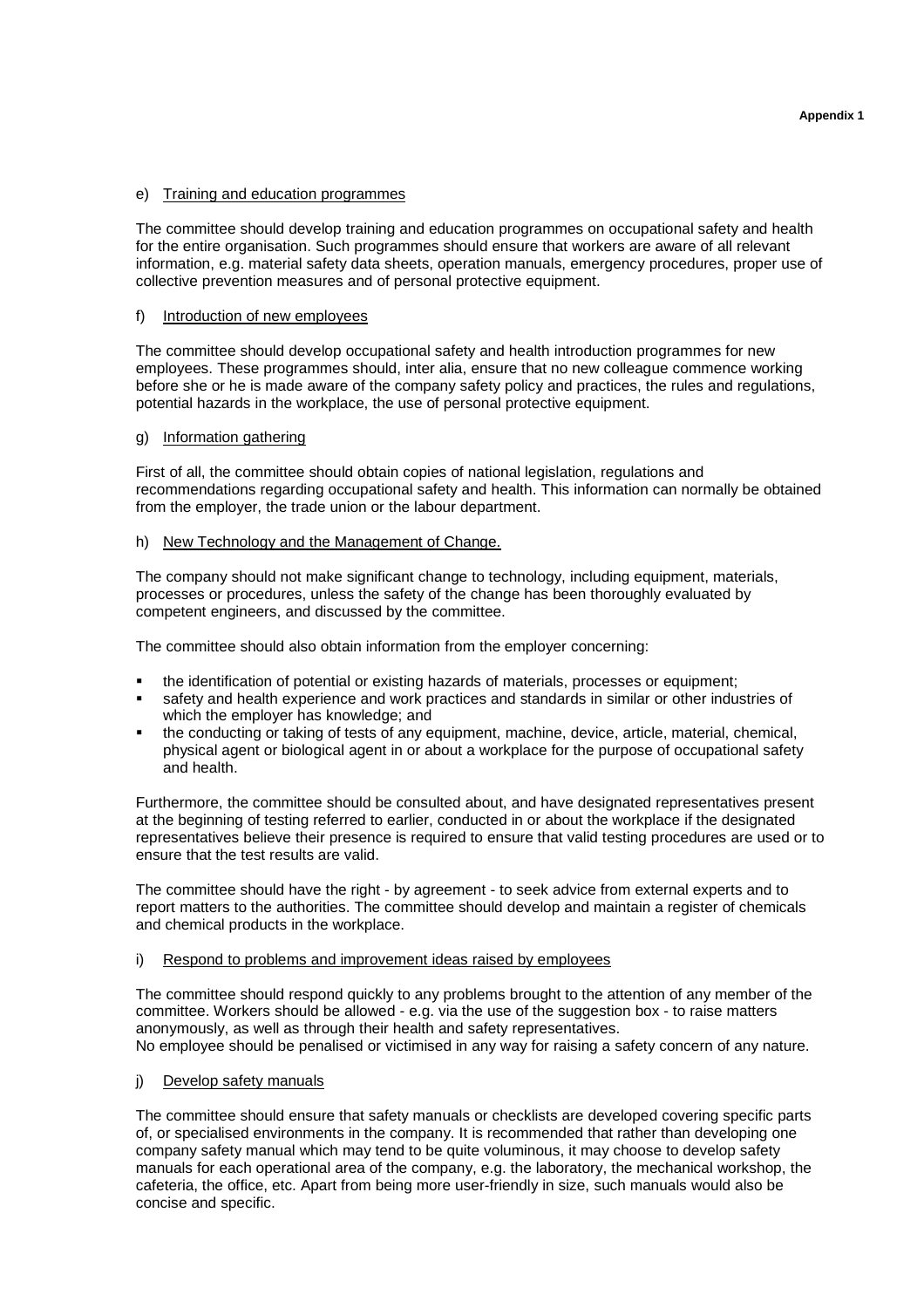## e) Training and education programmes

The committee should develop training and education programmes on occupational safety and health for the entire organisation. Such programmes should ensure that workers are aware of all relevant information, e.g. material safety data sheets, operation manuals, emergency procedures, proper use of collective prevention measures and of personal protective equipment.

## f) Introduction of new employees

The committee should develop occupational safety and health introduction programmes for new employees. These programmes should, inter alia, ensure that no new colleague commence working before she or he is made aware of the company safety policy and practices, the rules and regulations, potential hazards in the workplace, the use of personal protective equipment.

## g) Information gathering

First of all, the committee should obtain copies of national legislation, regulations and recommendations regarding occupational safety and health. This information can normally be obtained from the employer, the trade union or the labour department.

## h) New Technology and the Management of Change.

The company should not make significant change to technology, including equipment, materials, processes or procedures, unless the safety of the change has been thoroughly evaluated by competent engineers, and discussed by the committee.

The committee should also obtain information from the employer concerning:

- the identification of potential or existing hazards of materials, processes or equipment;
- safety and health experience and work practices and standards in similar or other industries of which the employer has knowledge; and
- the conducting or taking of tests of any equipment, machine, device, article, material, chemical, physical agent or biological agent in or about a workplace for the purpose of occupational safety and health.

Furthermore, the committee should be consulted about, and have designated representatives present at the beginning of testing referred to earlier, conducted in or about the workplace if the designated representatives believe their presence is required to ensure that valid testing procedures are used or to ensure that the test results are valid.

The committee should have the right - by agreement - to seek advice from external experts and to report matters to the authorities. The committee should develop and maintain a register of chemicals and chemical products in the workplace.

## i) Respond to problems and improvement ideas raised by employees

The committee should respond quickly to any problems brought to the attention of any member of the committee. Workers should be allowed - e.g. via the use of the suggestion box - to raise matters anonymously, as well as through their health and safety representatives. No employee should be penalised or victimised in any way for raising a safety concern of any nature.

# j) Develop safety manuals

The committee should ensure that safety manuals or checklists are developed covering specific parts of, or specialised environments in the company. It is recommended that rather than developing one company safety manual which may tend to be quite voluminous, it may choose to develop safety manuals for each operational area of the company, e.g. the laboratory, the mechanical workshop, the cafeteria, the office, etc. Apart from being more user-friendly in size, such manuals would also be concise and specific.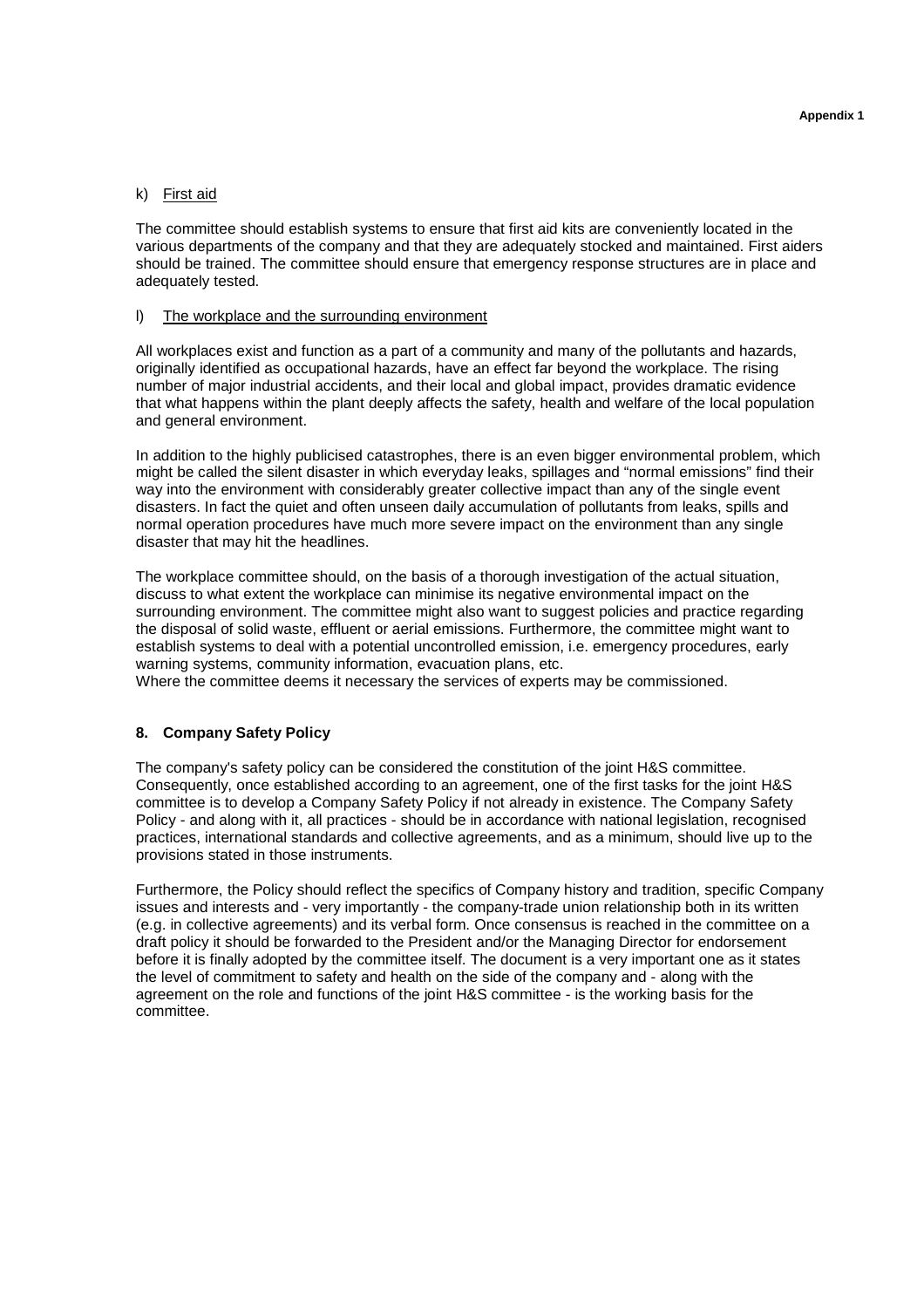## k) First aid

The committee should establish systems to ensure that first aid kits are conveniently located in the various departments of the company and that they are adequately stocked and maintained. First aiders should be trained. The committee should ensure that emergency response structures are in place and adequately tested.

#### l) The workplace and the surrounding environment

All workplaces exist and function as a part of a community and many of the pollutants and hazards, originally identified as occupational hazards, have an effect far beyond the workplace. The rising number of major industrial accidents, and their local and global impact, provides dramatic evidence that what happens within the plant deeply affects the safety, health and welfare of the local population and general environment.

In addition to the highly publicised catastrophes, there is an even bigger environmental problem, which might be called the silent disaster in which everyday leaks, spillages and "normal emissions" find their way into the environment with considerably greater collective impact than any of the single event disasters. In fact the quiet and often unseen daily accumulation of pollutants from leaks, spills and normal operation procedures have much more severe impact on the environment than any single disaster that may hit the headlines.

The workplace committee should, on the basis of a thorough investigation of the actual situation, discuss to what extent the workplace can minimise its negative environmental impact on the surrounding environment. The committee might also want to suggest policies and practice regarding the disposal of solid waste, effluent or aerial emissions. Furthermore, the committee might want to establish systems to deal with a potential uncontrolled emission, i.e. emergency procedures, early warning systems, community information, evacuation plans, etc.

Where the committee deems it necessary the services of experts may be commissioned.

#### **8. Company Safety Policy**

The company's safety policy can be considered the constitution of the joint H&S committee. Consequently, once established according to an agreement, one of the first tasks for the joint H&S committee is to develop a Company Safety Policy if not already in existence. The Company Safety Policy - and along with it, all practices - should be in accordance with national legislation, recognised practices, international standards and collective agreements, and as a minimum, should live up to the provisions stated in those instruments.

Furthermore, the Policy should reflect the specifics of Company history and tradition, specific Company issues and interests and - very importantly - the company-trade union relationship both in its written (e.g. in collective agreements) and its verbal form. Once consensus is reached in the committee on a draft policy it should be forwarded to the President and/or the Managing Director for endorsement before it is finally adopted by the committee itself. The document is a very important one as it states the level of commitment to safety and health on the side of the company and - along with the agreement on the role and functions of the joint H&S committee - is the working basis for the committee.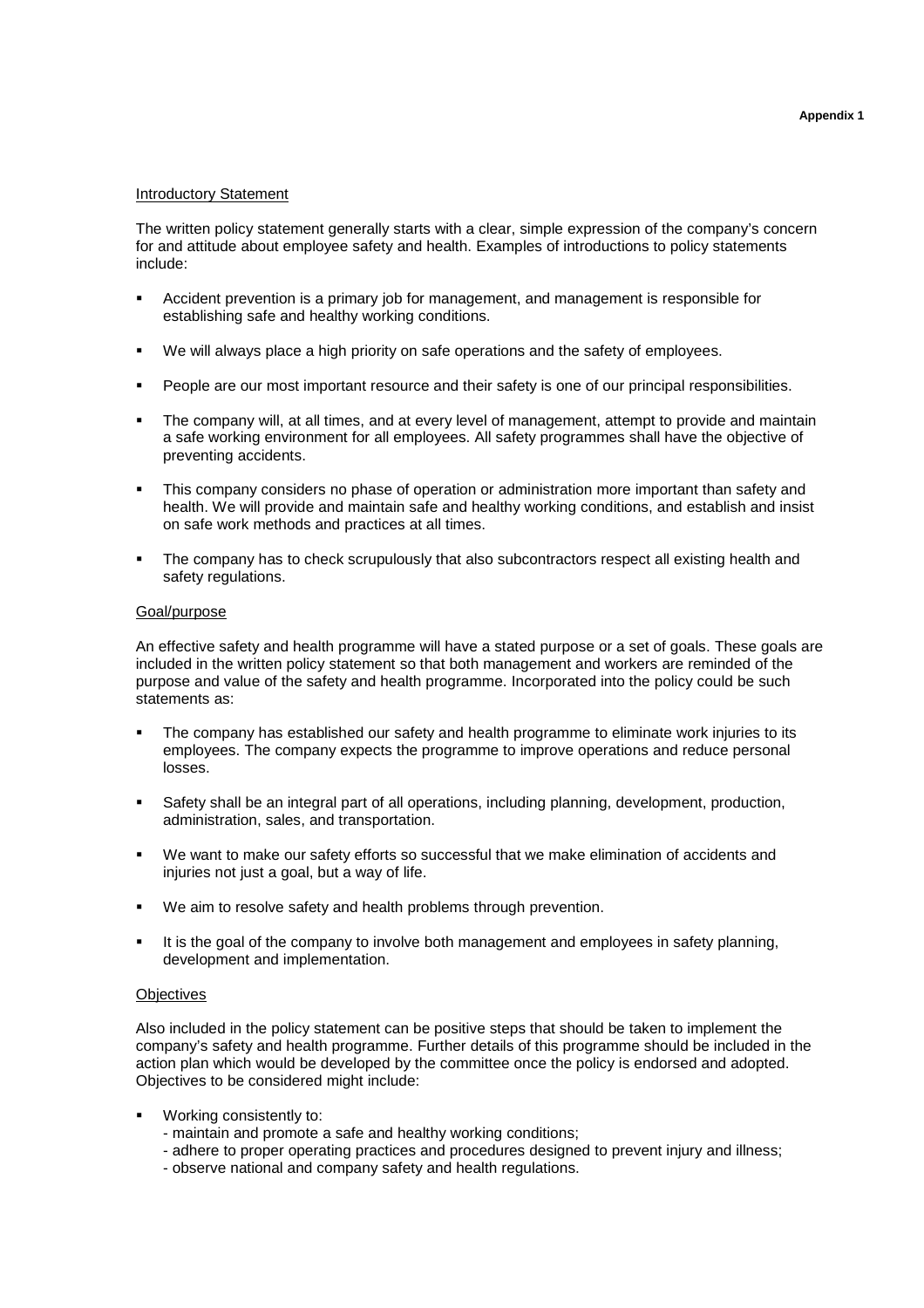## Introductory Statement

The written policy statement generally starts with a clear, simple expression of the company's concern for and attitude about employee safety and health. Examples of introductions to policy statements include:

- Accident prevention is a primary job for management, and management is responsible for establishing safe and healthy working conditions.
- We will always place a high priority on safe operations and the safety of employees.
- People are our most important resource and their safety is one of our principal responsibilities.
- The company will, at all times, and at every level of management, attempt to provide and maintain a safe working environment for all employees. All safety programmes shall have the objective of preventing accidents.
- This company considers no phase of operation or administration more important than safety and health. We will provide and maintain safe and healthy working conditions, and establish and insist on safe work methods and practices at all times.
- The company has to check scrupulously that also subcontractors respect all existing health and safety regulations.

#### Goal/purpose

An effective safety and health programme will have a stated purpose or a set of goals. These goals are included in the written policy statement so that both management and workers are reminded of the purpose and value of the safety and health programme. Incorporated into the policy could be such statements as:

- The company has established our safety and health programme to eliminate work injuries to its employees. The company expects the programme to improve operations and reduce personal losses.
- Safety shall be an integral part of all operations, including planning, development, production, administration, sales, and transportation.
- We want to make our safety efforts so successful that we make elimination of accidents and injuries not just a goal, but a way of life.
- We aim to resolve safety and health problems through prevention.
- It is the goal of the company to involve both management and employees in safety planning, development and implementation.

#### **Objectives**

Also included in the policy statement can be positive steps that should be taken to implement the company's safety and health programme. Further details of this programme should be included in the action plan which would be developed by the committee once the policy is endorsed and adopted. Objectives to be considered might include:

- Working consistently to:
	- maintain and promote a safe and healthy working conditions;
	- adhere to proper operating practices and procedures designed to prevent injury and illness;
	- observe national and company safety and health regulations.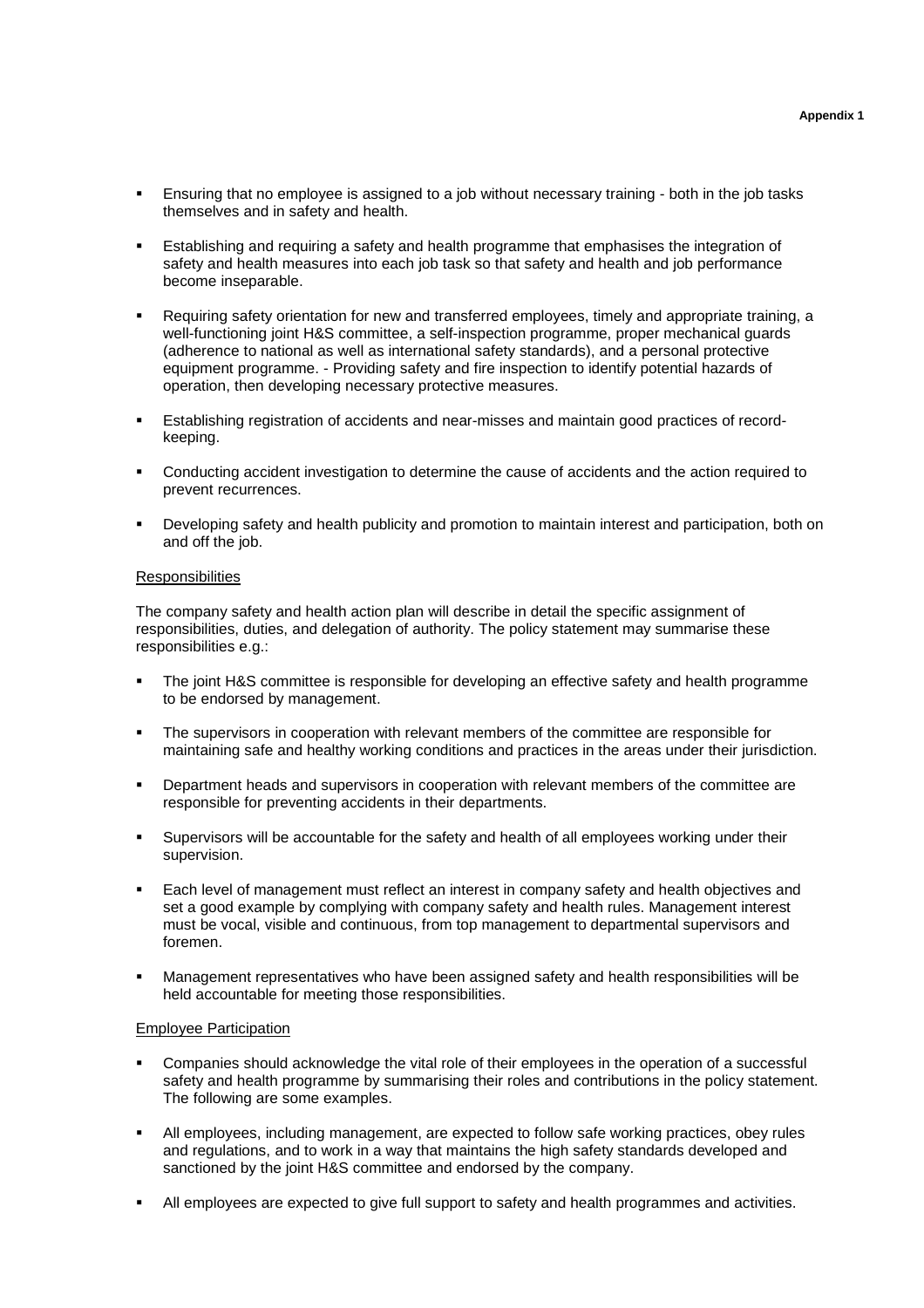- Ensuring that no employee is assigned to a job without necessary training both in the job tasks themselves and in safety and health.
- Establishing and requiring a safety and health programme that emphasises the integration of safety and health measures into each job task so that safety and health and job performance become inseparable.
- Requiring safety orientation for new and transferred employees, timely and appropriate training, a well-functioning joint H&S committee, a self-inspection programme, proper mechanical guards (adherence to national as well as international safety standards), and a personal protective equipment programme. - Providing safety and fire inspection to identify potential hazards of operation, then developing necessary protective measures.
- Establishing registration of accidents and near-misses and maintain good practices of recordkeeping.
- Conducting accident investigation to determine the cause of accidents and the action required to prevent recurrences.
- Developing safety and health publicity and promotion to maintain interest and participation, both on and off the job.

#### **Responsibilities**

The company safety and health action plan will describe in detail the specific assignment of responsibilities, duties, and delegation of authority. The policy statement may summarise these responsibilities e.g.:

- The joint H&S committee is responsible for developing an effective safety and health programme to be endorsed by management.
- The supervisors in cooperation with relevant members of the committee are responsible for maintaining safe and healthy working conditions and practices in the areas under their jurisdiction.
- Department heads and supervisors in cooperation with relevant members of the committee are responsible for preventing accidents in their departments.
- Supervisors will be accountable for the safety and health of all employees working under their supervision.
- Each level of management must reflect an interest in company safety and health objectives and set a good example by complying with company safety and health rules. Management interest must be vocal, visible and continuous, from top management to departmental supervisors and foremen.
- Management representatives who have been assigned safety and health responsibilities will be held accountable for meeting those responsibilities.

#### Employee Participation

- Companies should acknowledge the vital role of their employees in the operation of a successful safety and health programme by summarising their roles and contributions in the policy statement. The following are some examples.
- All employees, including management, are expected to follow safe working practices, obey rules and regulations, and to work in a way that maintains the high safety standards developed and sanctioned by the joint H&S committee and endorsed by the company.
- All employees are expected to give full support to safety and health programmes and activities.